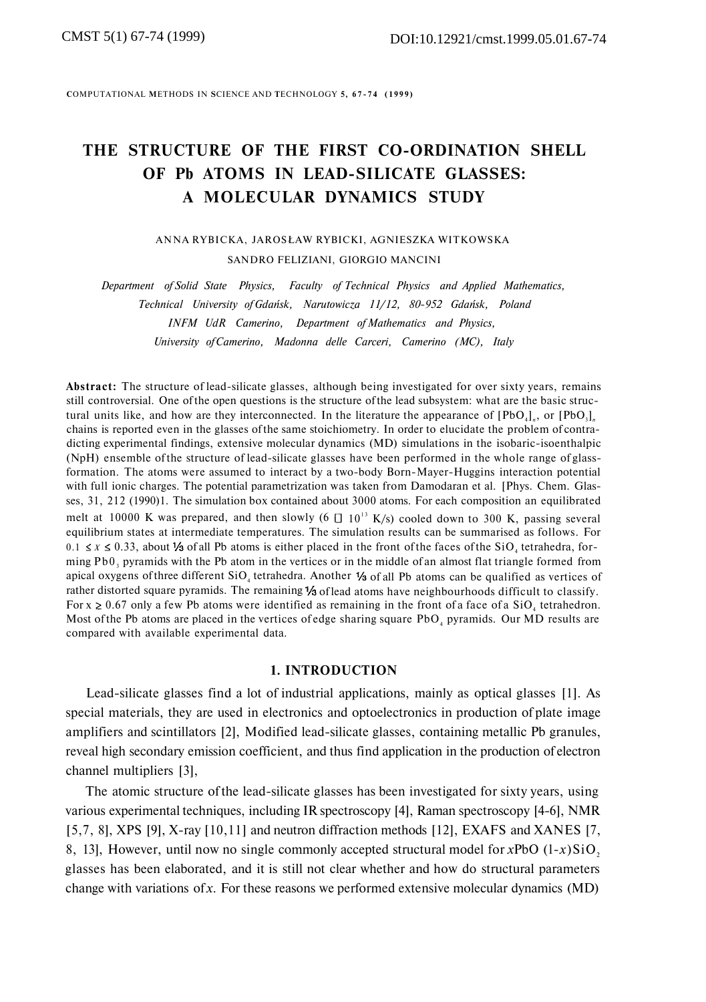**C**OMPUTATIONAL **M**ETHODS IN **S**CIENCE AND **T**ECHNOLOGY **5, 67-7 4 (1999 )** 

# **THE STRUCTURE OF THE FIRST CO-ORDINATION SHELL OF Pb ATOMS IN LEAD-SILICATE GLASSES: A MOLECULAR DYNAMICS STUDY**

ANNA RYBICKA, JAROSŁAW RYBICKI, AGNIESZKA WITKOWSKA SANDRO FELIZIANI, GIORGIO MANCINI

*Department of Solid State Physics, Faculty of Technical Physics and Applied Mathematics, Technical University of Gdańsk, Narutowicza 11/12, 80-952 Gdańsk, Poland INFM UdR Camerino, Department of Mathematics and Physics, University of Camerino, Madonna delle Carceri, Camerino (MC), Italy* 

**Abstract:** The structure of lead-silicate glasses, although being investigated for over sixty years, remains still controversial. One of the open questions is the structure of the lead subsystem: what are the basic structural units like, and how are they interconnected. In the literature the appearance of  $[PbO_4]_n$ , or  $[PbO_3]_n$ chains is reported even in the glasses of the same stoichiometry. In order to elucidate the problem of contradicting experimental findings, extensive molecular dynamics (MD) simulations in the isobaric-isoenthalpic (NpH) ensemble of the structure of lead-silicate glasses have been performed in the whole range of glassformation. The atoms were assumed to interact by a two-body Born-Mayer-Huggins interaction potential with full ionic charges. The potential parametrization was taken from Damodaran et al. [Phys. Chem. Glasses, 31, 212 (1990)1. The simulation box contained about 3000 atoms. For each composition an equilibrated ming  $Pb0_3$  pyramids with the Pb atom in the vertices or in the middle of an almost flat triangle formed from Most of the Pb atoms are placed in the vertices of edge sharing square  $PbO<sub>4</sub>$  pyramids. Our MD results are compared with available experimental data.  $0.1 \le x \le 0.33$ , about 1/3 of all Pb atoms is either placed in the front of the faces of the SiO<sub>4</sub> tetrahedra, forapical oxygens of three different  $SiO<sub>4</sub>$  tetrahedra. Another  $\mathcal{V}_3$  of all Pb atoms can be qualified as vertices of rather distorted square pyramids. The remaining  $\mathcal{V}_0$  of lead atoms have neighbourhoods difficult to classify. For  $x \ge 0.67$  only a few Pb atoms were identified as remaining in the front of a face of a SiO<sub>4</sub> tetrahedron. equilibrium states at intermediate temperatures. The simulation results can be summarised as follows. For melt at 10000 K was prepared, and then slowly (6  $\Box$  10<sup>13</sup> K/s) cooled down to 300 K, passing several

## **1. INTRODUCTION**

Lead-silicate glasses find a lot of industrial applications, mainly as optical glasses [1]. As special materials, they are used in electronics and optoelectronics in production of plate image amplifiers and scintillators [2], Modified lead-silicate glasses, containing metallic Pb granules, reveal high secondary emission coefficient, and thus find application in the production of electron channel multipliers [3],

The atomic structure of the lead-silicate glasses has been investigated for sixty years, using various experimental techniques, including IR spectroscopy [4], Raman spectroscopy [4-6], NMR [5,7, 8], XPS [9], X-ray [10,11] and neutron diffraction methods [12], EXAFS and XANES [7, 8, 13], However, until now no single commonly accepted structural model for *xPbO* (1-*x*)SiO, glasses has been elaborated, and it is still not clear whether and how do structural parameters change with variations of *x*. For these reasons we performed extensive molecular dynamics (MD)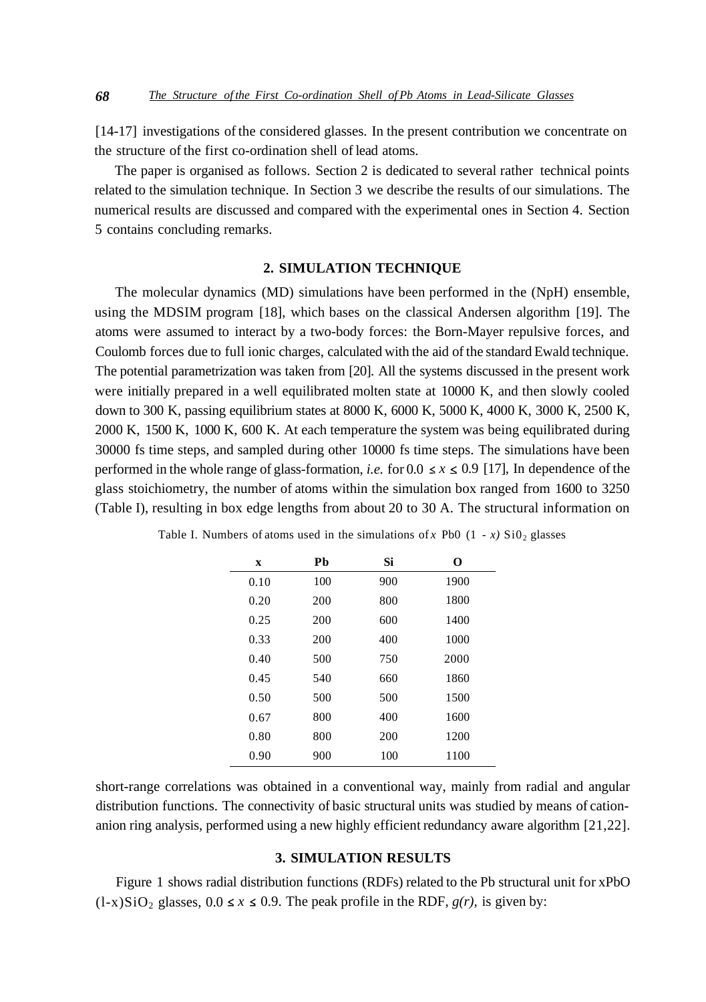[14-17] investigations of the considered glasses. In the present contribution we concentrate on the structure of the first co-ordination shell of lead atoms.

The paper is organised as follows. Section 2 is dedicated to several rather technical points related to the simulation technique. In Section 3 we describe the results of our simulations. The numerical results are discussed and compared with the experimental ones in Section 4. Section 5 contains concluding remarks.

# **2. SIMULATION TECHNIQUE**

The molecular dynamics (MD) simulations have been performed in the (NpH) ensemble, using the MDSIM program [18], which bases on the classical Andersen algorithm [19]. The atoms were assumed to interact by a two-body forces: the Born-Mayer repulsive forces, and Coulomb forces due to full ionic charges, calculated with the aid of the standard Ewald technique. The potential parametrization was taken from [20]. All the systems discussed in the present work were initially prepared in a well equilibrated molten state at 10000 K, and then slowly cooled down to 300 K, passing equilibrium states at 8000 K, 6000 K, 5000 K, 4000 K, 3000 K, 2500 K, 2000 K, 1500 K, 1000 K, 600 K. At each temperature the system was being equilibrated during 30000 fs time steps, and sampled during other 10000 fs time steps. The simulations have been glass stoichiometry, the number of atoms within the simulation box ranged from 1600 to 3250 (Table I), resulting in box edge lengths from about 20 to 30 A. The structural information on performed in the whole range of glass-formation, *i.e.* for  $0.0 \le x \le 0.9$  [17], In dependence of the

| X    | Ph  | Si  | O    |  |
|------|-----|-----|------|--|
| 0.10 | 100 | 900 | 1900 |  |
| 0.20 | 200 | 800 | 1800 |  |
| 0.25 | 200 | 600 | 1400 |  |
| 0.33 | 200 | 400 | 1000 |  |
| 0.40 | 500 | 750 | 2000 |  |
| 0.45 | 540 | 660 | 1860 |  |
| 0.50 | 500 | 500 | 1500 |  |
| 0.67 | 800 | 400 | 1600 |  |
| 0.80 | 800 | 200 | 1200 |  |
| 0.90 | 900 | 100 | 1100 |  |

Table I. Numbers of atoms used in the simulations of x Pb0  $(1 - x)$  Si0<sub>2</sub> glasses

short-range correlations was obtained in a conventional way, mainly from radial and angular distribution functions. The connectivity of basic structural units was studied by means of cationanion ring analysis, performed using a new highly efficient redundancy aware algorithm [21,22].

### **3. SIMULATION RESULTS**

Figure 1 shows radial distribution functions (RDFs) related to the Pb structural unit for xPbO  $(1-x)SiO<sub>2</sub>$  glasses,  $0.0 \le x \le 0.9$ . The peak profile in the RDF,  $g(r)$ , is given by: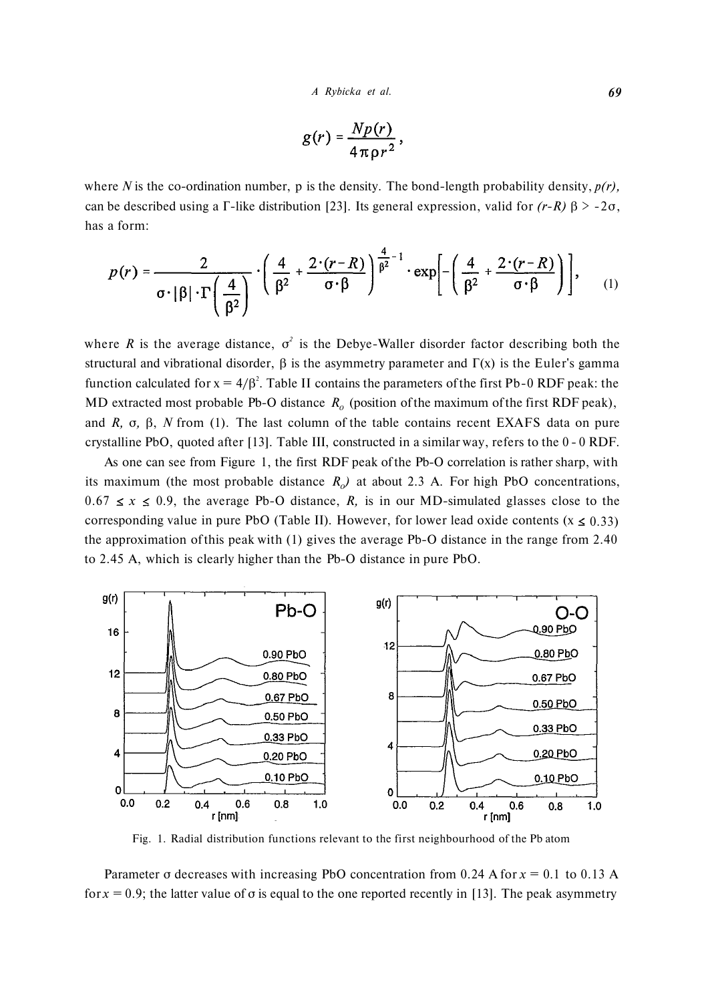*A Rybicka et al. 69* 

$$
g(r)=\frac{Np(r)}{4\pi \rho r^2},
$$

where N is the co-ordination number, p is the density. The bond-length probability density,  $p(r)$ , can be described using a Г-like distribution [23]. Its general expression, valid for *(r-R)* β > -2σ, has a form:

$$
p(r) = \frac{2}{\sigma \cdot |\beta| \cdot \Gamma\left(\frac{4}{\beta^2}\right)} \cdot \left(\frac{4}{\beta^2} + \frac{2 \cdot (r - R)}{\sigma \cdot \beta}\right)^{\frac{4}{\beta^2} - 1} \cdot \exp\left[-\left(\frac{4}{\beta^2} + \frac{2 \cdot (r - R)}{\sigma \cdot \beta}\right)\right],\tag{1}
$$

where R is the average distance,  $\sigma^2$  is the Debye-Waller disorder factor describing both the structural and vibrational disorder,  $\beta$  is the asymmetry parameter and  $\Gamma(x)$  is the Euler's gamma function calculated for  $x = 4/\beta^2$ . Table II contains the parameters of the first Pb-0 RDF peak: the MD extracted most probable Pb-O distance  $R_o$  (position of the maximum of the first RDF peak), and *R,* σ*,* β, *N* from (1). The last column of the table contains recent EXAFS data on pure crystalline PbO, quoted after [13]. Table III, constructed in a similar way, refers to the 0- 0 RDF.

As one can see from Figure 1, the first RDF peak of the Pb-O correlation is rather sharp, with its maximum (the most probable distance  $R_o$ ) at about 2.3 A. For high PbO concentrations, the approximation of this peak with (1) gives the average Pb-O distance in the range from 2.40 to 2.45 A, which is clearly higher than the Pb-O distance in pure PbO. corresponding value in pure PbO (Table II). However, for lower lead oxide contents ( $x \le 0.33$ )  $0.67 \le x \le 0.9$ , the average Pb-O distance, R, is in our MD-simulated glasses close to the



Fig. 1. Radial distribution functions relevant to the first neighbourhood of the Pb atom

Parameter σ decreases with increasing PbO concentration from 0.24 A for *x* = 0.1 to 0.13 A for  $x = 0.9$ ; the latter value of  $\sigma$  is equal to the one reported recently in [13]. The peak asymmetry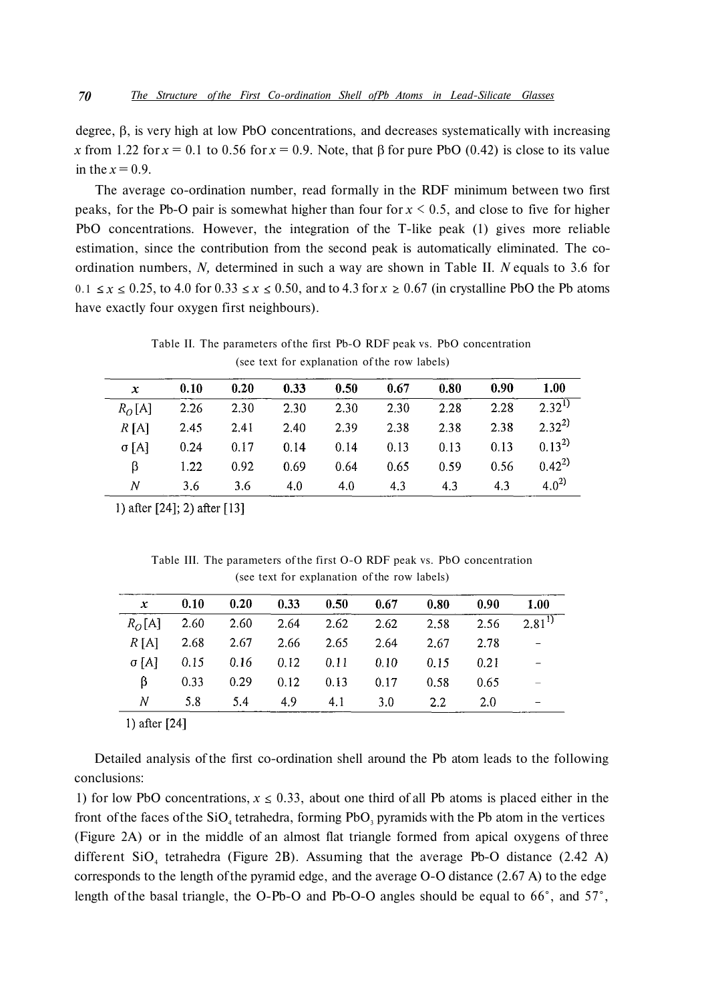degree, β, is very high at low PbO concentrations, and decreases systematically with increasing *x* from 1.22 for  $x = 0.1$  to 0.56 for  $x = 0.9$ . Note, that  $\beta$  for pure PbO (0.42) is close to its value in the  $x = 0.9$ .

The average co-ordination number, read formally in the RDF minimum between two first peaks, for the Pb-O pair is somewhat higher than four for  $x < 0.5$ , and close to five for higher PbO concentrations. However, the integration of the T-like peak (1) gives more reliable estimation, since the contribution from the second peak is automatically eliminated. The coordination numbers, *N,* determined in such a way are shown in Table II. *N* equals to 3.6 for have exactly four oxygen first neighbours).  $0.1 \le x \le 0.25$ , to 4.0 for  $0.33 \le x \le 0.50$ , and to 4.3 for  $x \ge 0.67$  (in crystalline PbO the Pb atoms

Table II. The parameters of the first Pb-O RDF peak vs. PbO concentration (see text for explanation of the row labels)

| x                      | 0.10 | 0.20 | 0.33 | 0.50 | 0.67 | 0.80 | 0.90 | 1.00       |
|------------------------|------|------|------|------|------|------|------|------------|
| $R_{\Omega}[\text{A}]$ | 2.26 | 2.30 | 2.30 | 2.30 | 2.30 | 2.28 | 2.28 | $2.32^{1}$ |
| $R$ [A]                | 2.45 | 2.41 | 2.40 | 2.39 | 2.38 | 2.38 | 2.38 | $2.32^{2}$ |
| $\sigma$ [A]           | 0.24 | 0.17 | 0.14 | 0.14 | 0.13 | 0.13 | 0.13 | $0.13^{2}$ |
| ß                      | 1.22 | 0.92 | 0.69 | 0.64 | 0.65 | 0.59 | 0.56 | $0.42^{2}$ |
| Ν                      | 3.6  | 3.6  | 4.0  | 4.0  | 4.3  | 4.3  | 4.3  | $4.0^{2}$  |

1) after [24]; 2) after [13]

Table III. The parameters of the first O-O RDF peak vs. PbO concentration (see text for explanation of the row labels)

| $\boldsymbol{x}$ | 0.10      | 0.20    |                                       | $0.33$ $0.50$ $0.67$ $0.80$              |                | 0.90      | 1.00        |
|------------------|-----------|---------|---------------------------------------|------------------------------------------|----------------|-----------|-------------|
|                  |           |         |                                       | $R_{\odot}$ [A] 2.60 2.60 2.64 2.62 2.62 |                | 2.58 2.56 | $2.81^{11}$ |
|                  |           |         | $R[A]$ 2.68 2.67 2.66 2.65            |                                          | 2.64 2.67 2.78 |           |             |
|                  |           |         | $\sigma$ [A] 0.15 0.16 0.12 0.11 0.10 |                                          | 0.15           | 0.21      |             |
| B.               | 0.33      |         | $0.29$ $0.12$ $0.13$ $0.17$           |                                          | 0.58           | 0.65      |             |
|                  | $N = 5.8$ | 5.4 4.9 |                                       | 4.1 3.0                                  | 2.2            | - 2.0     |             |

1) after [24]

Detailed analysis of the first co-ordination shell around the Pb atom leads to the following conclusions:

front of the faces of the  $SiO_4$  tetrahedra, forming  $PbO_3$  pyramids with the Pb atom in the vertices (Figure 2A) or in the middle of an almost flat triangle formed from apical oxygens of three different  $SiO<sub>4</sub>$  tetrahedra (Figure 2B). Assuming that the average Pb-O distance (2.42 A) corresponds to the length of the pyramid edge, and the average O-O distance (2.67 A) to the edge length of the basal triangle, the O-Pb-O and Pb-O-O angles should be equal to 66°, and 57°, 1) for low PbO concentrations,  $x \le 0.33$ , about one third of all Pb atoms is placed either in the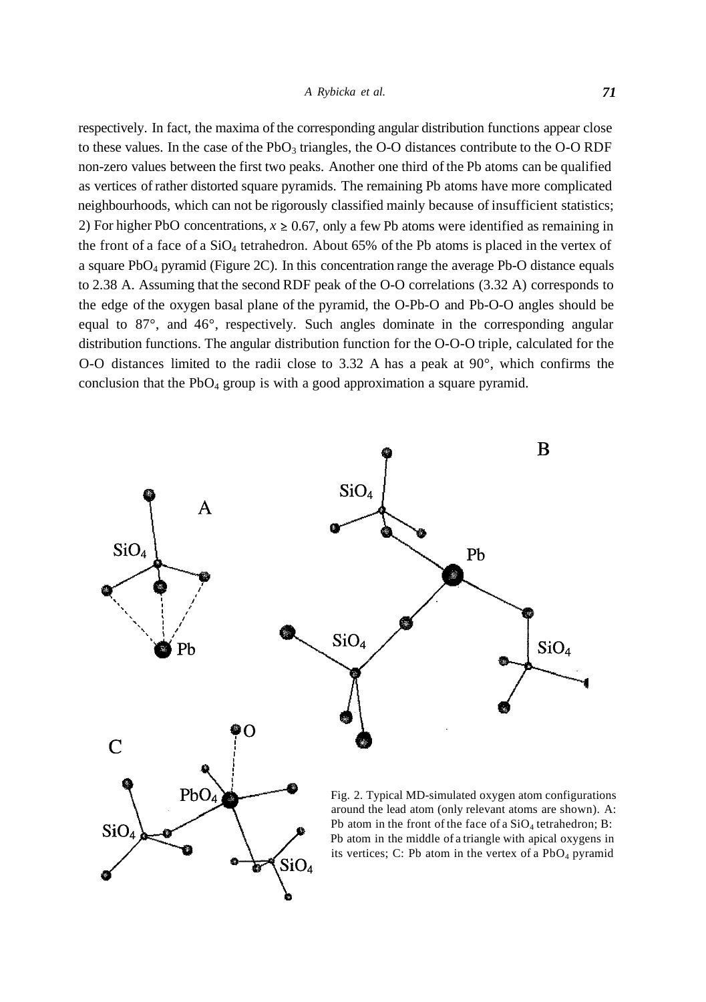respectively. In fact, the maxima of the corresponding angular distribution functions appear close to these values. In the case of the  $PbO_3$  triangles, the O-O distances contribute to the O-O RDF non-zero values between the first two peaks. Another one third of the Pb atoms can be qualified as vertices of rather distorted square pyramids. The remaining Pb atoms have more complicated neighbourhoods, which can not be rigorously classified mainly because of insufficient statistics; the front of a face of a  $SiO<sub>4</sub>$  tetrahedron. About 65% of the Pb atoms is placed in the vertex of a square  $PbO_4$  pyramid (Figure 2C). In this concentration range the average Pb-O distance equals to 2.38 A. Assuming that the second RDF peak of the O-O correlations (3.32 A) corresponds to the edge of the oxygen basal plane of the pyramid, the O-Pb-O and Pb-O-O angles should be equal to 87°, and 46°, respectively. Such angles dominate in the corresponding angular distribution functions. The angular distribution function for the O-O-O triple, calculated for the O-O distances limited to the radii close to 3.32 A has a peak at  $90^\circ$ , which confirms the conclusion that the  $PbO_4$  group is with a good approximation a square pyramid. 2) For higher PbO concentrations,  $x \ge 0.67$ , only a few Pb atoms were identified as remaining in

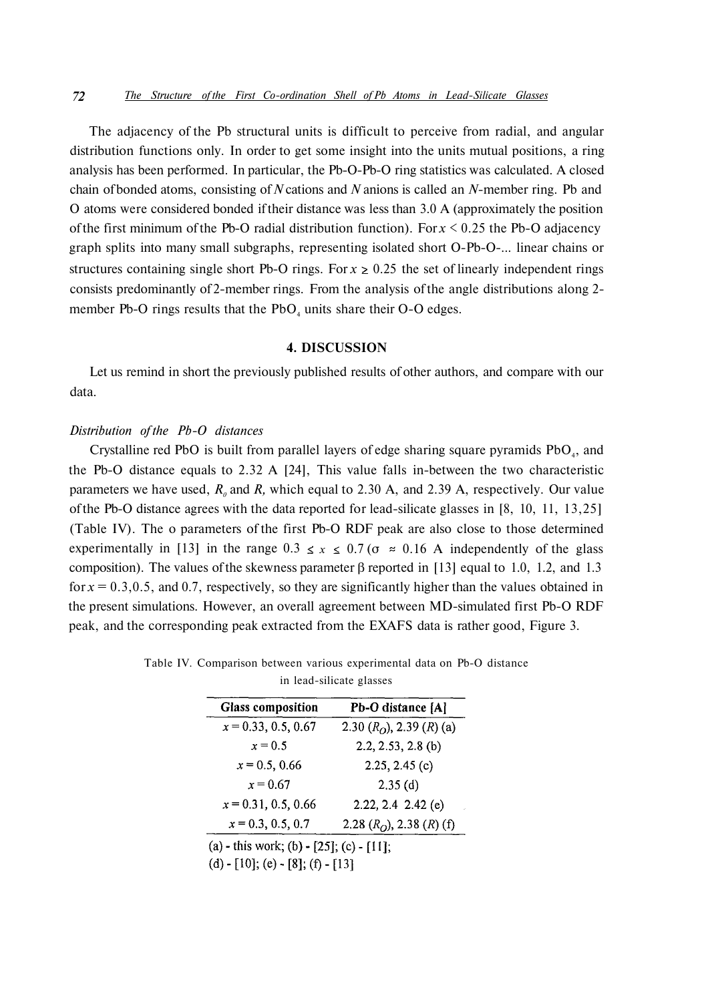The adjacency of the Pb structural units is difficult to perceive from radial, and angular distribution functions only. In order to get some insight into the units mutual positions, a ring analysis has been performed. In particular, the Pb-O-Pb-O ring statistics was calculated. A closed chain of bonded atoms, consisting of *N* cations and *N* anions is called an *N*-member ring. Pb and O atoms were considered bonded if their distance was less than 3.0 A (approximately the position of the first minimum of the Pb-O radial distribution function). For  $x < 0.25$  the Pb-O adjacency graph splits into many small subgraphs, representing isolated short O-Pb-O-... linear chains or consists predominantly of 2-member rings. From the analysis of the angle distributions along 2 member Pb-O rings results that the  $PbO_4$  units share their O-O edges. structures containing single short Pb-O rings. For  $x \ge 0.25$  the set of linearly independent rings

## **4. DISCUSSION**

Let us remind in short the previously published results of other authors, and compare with our data.

#### *Distribution of the Pb-O distances*

Crystalline red PbO is built from parallel layers of edge sharing square pyramids  $PbO<sub>4</sub>$ , and the Pb-O distance equals to 2.32 A [24], This value falls in-between the two characteristic parameters we have used,  $R$ <sup>*n*</sup> and  $R$ , which equal to 2.30 A, and 2.39 A, respectively. Our value of the Pb-O distance agrees with the data reported for lead-silicate glasses in [8, 10, 11, 13,25] (Table IV). The o parameters of the first Pb-O RDF peak are also close to those determined composition). The values of the skewness parameter β reported in [13] equal to 1.0, 1.2, and 1.3 for  $x = 0.3, 0.5$ , and 0.7, respectively, so they are significantly higher than the values obtained in the present simulations. However, an overall agreement between MD-simulated first Pb-O RDF peak, and the corresponding peak extracted from the EXAFS data is rather good, Figure 3. experimentally in [13] in the range  $0.3 \le x \le 0.7$  ( $\sigma \approx 0.16$  A independently of the glass

| <b>Glass composition</b> | Pb-O distance [A]            |  |  |  |
|--------------------------|------------------------------|--|--|--|
| $x = 0.33, 0.5, 0.67$    | 2.30 $(RO)$ , 2.39 $(R)$ (a) |  |  |  |
| $x = 0.5$                | $2.2, 2.53, 2.8$ (b)         |  |  |  |
| $x = 0.5, 0.66$          | $2.25, 2.45$ (c)             |  |  |  |
| $x = 0.67$               | 2.35(d)                      |  |  |  |
| $x = 0.31, 0.5, 0.66$    | $2.22, 2.4$ $2.42$ (e)       |  |  |  |
| $x = 0.3, 0.5, 0.7$      | 2.28 $(RO)$ , 2.38 $(R)$ (f) |  |  |  |

Table IV. Comparison between various experimental data on Pb-O distance in lead-silicate glasses

(d) - [10]; (e) - [8]; (f) - [13]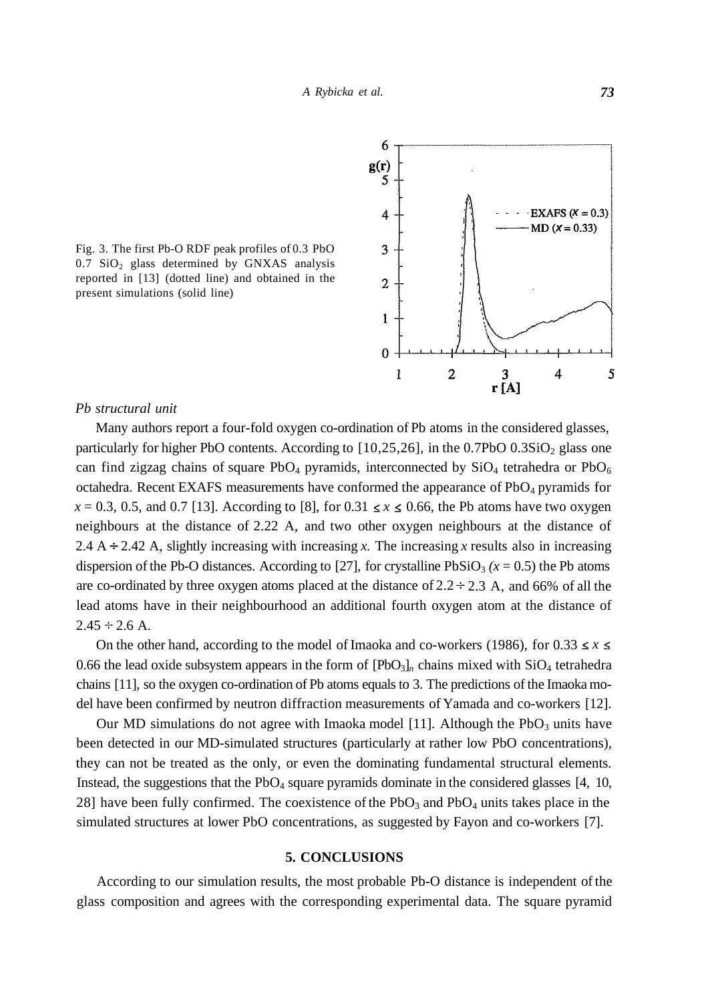Fig. 3. The first Pb-O RDF peak profiles of 0.3 PbO  $0.7$  SiO<sub>2</sub> glass determined by GNXAS analysis reported in [13] (dotted line) and obtained in the present simulations (solid line)



## *Pb structural unit*

Many authors report a four-fold oxygen co-ordination of Pb atoms in the considered glasses, particularly for higher PbO contents. According to  $[10,25,26]$ , in the 0.7PbO 0.3SiO<sub>2</sub> glass one can find zigzag chains of square PbO<sub>4</sub> pyramids, interconnected by  $SiO<sub>4</sub>$  tetrahedra or PbO<sub>6</sub> octahedra. Recent EXAFS measurements have conformed the appearance of  $PbO<sub>4</sub>$  pyramids for lead atoms have in their neighbourhood an additional fourth oxygen atom at the distance of dispersion of the Pb-O distances. According to [27], for crystalline PbSiO<sub>3</sub> ( $x = 0.5$ ) the Pb atoms neighbours at the distance of 2.22 A, and two other oxygen neighbours at the distance of  $x = 0.3, 0.5,$  and 0.7 [13]. According to [8], for 0.31  $\le x \le 0.66$ , the Pb atoms have two oxygen 2.4  $A \div 2.42$  A, slightly increasing with increasing x. The increasing x results also in increasing are co-ordinated by three oxygen atoms placed at the distance of  $2.2 \div 2.3$  A, and 66% of all the  $2.45 \div 2.6$  A.

0.66 the lead oxide subsystem appears in the form of  $[PbO<sub>3</sub>]$ <sub>n</sub> chains mixed with SiO<sub>4</sub> tetrahedra chains [11], so the oxygen co-ordination of Pb atoms equals to 3. The predictions of the Imaoka model have been confirmed by neutron diffraction measurements of Yamada and co-workers [12]. On the other hand, according to the model of Imaoka and co-workers (1986), for 0.33  $\le x \le$ 

Our MD simulations do not agree with Imaoka model [11]. Although the  $PbO<sub>3</sub>$  units have been detected in our MD-simulated structures (particularly at rather low PbO concentrations), they can not be treated as the only, or even the dominating fundamental structural elements. Instead, the suggestions that the  $PbO_4$  square pyramids dominate in the considered glasses [4, 10, 28] have been fully confirmed. The coexistence of the  $PbO<sub>3</sub>$  and  $PbO<sub>4</sub>$  units takes place in the simulated structures at lower PbO concentrations, as suggested by Fayon and co-workers [7].

## **5. CONCLUSIONS**

According to our simulation results, the most probable Pb-O distance is independent of the glass composition and agrees with the corresponding experimental data. The square pyramid